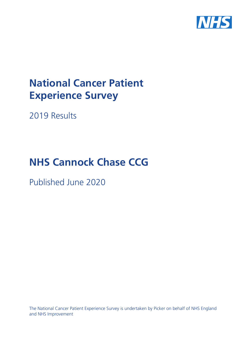

# **National Cancer Patient Experience Survey**

2019 Results

# **NHS Cannock Chase CCG**

Published June 2020

The National Cancer Patient Experience Survey is undertaken by Picker on behalf of NHS England and NHS Improvement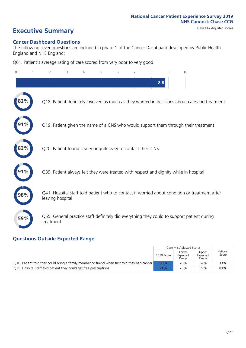# **Executive Summary** Case Mix Adjusted scores

#### **Cancer Dashboard Questions**

The following seven questions are included in phase 1 of the Cancer Dashboard developed by Public Health England and NHS England:

Q61. Patient's average rating of care scored from very poor to very good

| 0   | $\overline{2}$   | 3                                                             | $\overline{4}$ | 5 | 6 | 7 | 8   | 9 | 10                                                                                            |
|-----|------------------|---------------------------------------------------------------|----------------|---|---|---|-----|---|-----------------------------------------------------------------------------------------------|
|     |                  |                                                               |                |   |   |   | 8.8 |   |                                                                                               |
| 2%  |                  |                                                               |                |   |   |   |     |   | Q18. Patient definitely involved as much as they wanted in decisions about care and treatment |
|     |                  |                                                               |                |   |   |   |     |   | Q19. Patient given the name of a CNS who would support them through their treatment           |
| 83% |                  | Q20. Patient found it very or quite easy to contact their CNS |                |   |   |   |     |   |                                                                                               |
|     |                  |                                                               |                |   |   |   |     |   | Q39. Patient always felt they were treated with respect and dignity while in hospital         |
| 98% | leaving hospital |                                                               |                |   |   |   |     |   | Q41. Hospital staff told patient who to contact if worried about condition or treatment after |
| 59% | treatment        |                                                               |                |   |   |   |     |   | Q55. General practice staff definitely did everything they could to support patient during    |

### **Questions Outside Expected Range**

|                                                                                                  |            | Case Mix Adjusted Scores   |                            |                   |
|--------------------------------------------------------------------------------------------------|------------|----------------------------|----------------------------|-------------------|
|                                                                                                  | 2019 Score | Lower<br>Expected<br>Range | Upper<br>Expected<br>Range | National<br>Score |
| $ Q10$ . Patient told they could bring a family member or friend when first told they had cancer | 86%        | 70%                        | 84%                        | 77%               |
| Q25. Hospital staff told patient they could get free prescriptions                               | 91%        | 75%                        | 89%                        | 82%               |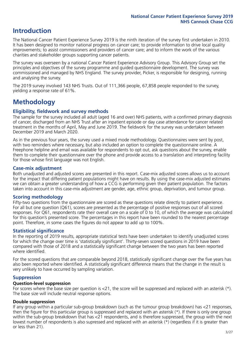# **Introduction**

The National Cancer Patient Experience Survey 2019 is the ninth iteration of the survey first undertaken in 2010. It has been designed to monitor national progress on cancer care; to provide information to drive local quality improvements; to assist commissioners and providers of cancer care; and to inform the work of the various charities and stakeholder groups supporting cancer patients.

The survey was overseen by a national Cancer Patient Experience Advisory Group. This Advisory Group set the principles and objectives of the survey programme and guided questionnaire development. The survey was commissioned and managed by NHS England. The survey provider, Picker, is responsible for designing, running and analysing the survey.

The 2019 survey involved 143 NHS Trusts. Out of 111,366 people, 67,858 people responded to the survey, yielding a response rate of 61%.

# **Methodology**

#### **Eligibility, fieldwork and survey methods**

The sample for the survey included all adult (aged 16 and over) NHS patients, with a confirmed primary diagnosis of cancer, discharged from an NHS Trust after an inpatient episode or day case attendance for cancer related treatment in the months of April, May and June 2019. The fieldwork for the survey was undertaken between December 2019 and March 2020.

As in the previous four years, the survey used a mixed mode methodology. Questionnaires were sent by post, with two reminders where necessary, but also included an option to complete the questionnaire online. A Freephone helpline and email was available for respondents to opt out, ask questions about the survey, enable them to complete their questionnaire over the phone and provide access to a translation and interpreting facility for those whose first language was not English.

#### **Case-mix adjustment**

Both unadjusted and adjusted scores are presented in this report. Case-mix adjusted scores allows us to account for the impact that differing patient populations might have on results. By using the case-mix adjusted estimates we can obtain a greater understanding of how a CCG is performing given their patient population. The factors taken into account in this case-mix adjustment are gender, age, ethnic group, deprivation, and tumour group.

#### **Scoring methodology**

Fifty-two questions from the questionnaire are scored as these questions relate directly to patient experience. For all but one question (Q61), scores are presented as the percentage of positive responses out of all scored responses. For Q61, respondents rate their overall care on a scale of 0 to 10, of which the average was calculated for this question's presented score. The percentages in this report have been rounded to the nearest percentage point. Therefore, in some cases the figures do not appear to add up to 100%.

#### **Statistical significance**

In the reporting of 2019 results, appropriate statistical tests have been undertaken to identify unadjusted scores for which the change over time is 'statistically significant'. Thirty-seven scored questions in 2019 have been compared with those of 2018 and a statistically significant change between the two years has been reported where identified.

For the scored questions that are comparable beyond 2018, statistically significant change over the five years has also been reported where identified. A statistically significant difference means that the change in the result is very unlikely to have occurred by sampling variation.

#### **Suppression**

#### **Question-level suppression**

For scores where the base size per question is  $<$ 21, the score will be suppressed and replaced with an asterisk (\*). The base size will include neutral response options.

#### **Double suppression**

If any group within a particular sub-group breakdown (such as the tumour group breakdown) has <21 responses, then the figure for this particular group is suppressed and replaced with an asterisk (\*). If there is only one group within the sub-group breakdown that has <21 respondents, and is therefore suppressed, the group with the next lowest number of respondents is also supressed and replaced with an asterisk (\*) (regardless if it is greater than or less than 21).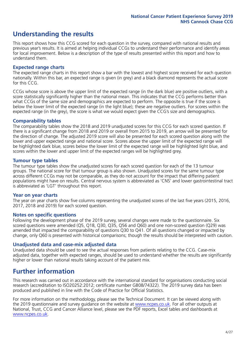# **Understanding the results**

This report shows how this CCG scored for each question in the survey, compared with national results and previous year's results. It is aimed at helping individual CCGs to understand their performance and identify areas for local improvement. Below is a description of the type of results presented within this report and how to understand them.

#### **Expected range charts**

The expected range charts in this report show a bar with the lowest and highest score received for each question nationally. Within this bar, an expected range is given (in grey) and a black diamond represents the actual score for this CCG.

CCGs whose score is above the upper limit of the expected range (in the dark blue) are positive outliers, with a score statistically significantly higher than the national mean. This indicates that the CCG performs better than what CCGs of the same size and demographics are expected to perform. The opposite is true if the score is below the lower limit of the expected range (in the light blue); these are negative outliers. For scores within the expected range (in the grey), the score is what we would expect given the CCG's size and demographics.

#### **Comparability tables**

The comparability tables show the 2018 and 2019 unadjusted scores for this CCG for each scored question. If there is a significant change from 2018 and 2019 or overall from 2015 to 2019, an arrow will be presented for the direction of change. The adjusted 2019 score will also be presented for each scored question along with the lower and upper expected range and national score. Scores above the upper limit of the expected range will be highlighted dark blue, scores below the lower limit of the expected range will be highlighted light blue, and scores within the lower and upper limit of the expected ranges will be highlighted grey.

#### **Tumour type tables**

The tumour type tables show the unadjusted scores for each scored question for each of the 13 tumour groups. The national score for that tumour group is also shown. Unadjusted scores for the same tumour type across different CCGs may not be comparable, as they do not account for the impact that differing patient populations might have on results. Central nervous system is abbreviated as 'CNS' and lower gastrointestinal tract is abbreviated as 'LGT' throughout this report.

#### **Year on year charts**

The year on year charts show five columns representing the unadjusted scores of the last five years (2015, 2016, 2017, 2018 and 2019) for each scored question.

#### **Notes on specific questions**

Following the development phase of the 2019 survey, several changes were made to the questionnaire. Six scored questions were amended (Q5, Q18, Q30, Q35, Q56 and Q60) and one non-scored question (Q29) was amended that impacted the comparability of questions Q30 to Q41. Of all questions changed or impacted by change, only Q60 is presented with historical comparisons; though the results should be interpreted with caution.

#### **Unadjusted data and case-mix adjusted data**

Unadjusted data should be used to see the actual responses from patients relating to the CCG. Case-mix adjusted data, together with expected ranges, should be used to understand whether the results are significantly higher or lower than national results taking account of the patient mix.

### **Further information**

This research was carried out in accordance with the international standard for organisations conducting social research (accreditation to ISO20252:2012; certificate number GB08/74322). The 2019 survey data has been produced and published in line with the Code of Practice for Official Statistics.

For more information on the methodology, please see the Technical Document. It can be viewed along with the 2019 questionnaire and survey quidance on the website at [www.ncpes.co.uk](https://www.ncpes.co.uk/supporting-documents). For all other outputs at National, Trust, CCG and Cancer Alliance level, please see the PDF reports, Excel tables and dashboards at [www.ncpes.co.uk.](https://www.ncpes.co.uk/current-results)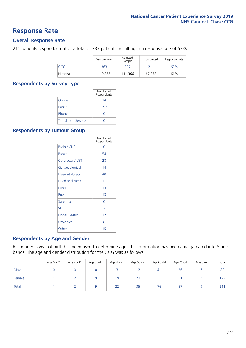### **Response Rate**

#### **Overall Response Rate**

211 patients responded out of a total of 337 patients, resulting in a response rate of 63%.

|          | Sample Size | Adjusted<br>Sample | Completed | Response Rate |
|----------|-------------|--------------------|-----------|---------------|
| CCG.     | 363         | 337                | 211       | 63%           |
| National | 119.855     | 111.366            | 67.858    | 61%           |

#### **Respondents by Survey Type**

|                            | Number of<br>Respondents |
|----------------------------|--------------------------|
| Online                     | 14                       |
| Paper                      | 197                      |
| Phone                      |                          |
| <b>Translation Service</b> |                          |

#### **Respondents by Tumour Group**

|                      | Number of<br>Respondents |
|----------------------|--------------------------|
| <b>Brain / CNS</b>   | ∩                        |
| <b>Breast</b>        | 54                       |
| Colorectal / LGT     | 28                       |
| Gynaecological       | 14                       |
| Haematological       | 40                       |
| <b>Head and Neck</b> | 11                       |
| Lung                 | 1 <sub>3</sub>           |
| Prostate             | 1 <sub>3</sub>           |
| Sarcoma              | Ω                        |
| Skin                 | 3                        |
| Upper Gastro         | 12                       |
| Urological           | 8                        |
| Other                | 15                       |

#### **Respondents by Age and Gender**

Respondents year of birth has been used to determine age. This information has been amalgamated into 8 age bands. The age and gender distribution for the CCG was as follows:

|        | Age 16-24 | Age 25-34 | Age 35-44 | Age 45-54 | Age 55-64 | Age 65-74 | Age 75-84 | Age 85+ | Total           |
|--------|-----------|-----------|-----------|-----------|-----------|-----------|-----------|---------|-----------------|
| Male   |           |           |           |           | 12        | 41        | 26        |         | 89              |
| Female |           |           |           | 19        | 23        | 35        | 31        |         | 122             |
| Total  |           |           |           | 22        | 35        | 76        | 57        |         | 21 <sup>1</sup> |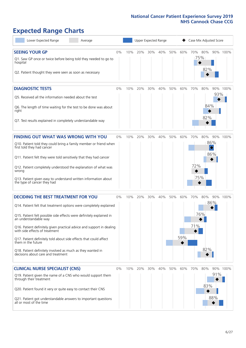# **Expected Range Charts**

| Lower Expected Range<br>Average                                                                                                                                                                                                                                                                                                                                                                                                                                                                                             |       |     | Upper Expected Range |     |     |     |            | Case Mix Adjusted Score |                   |                                |          |
|-----------------------------------------------------------------------------------------------------------------------------------------------------------------------------------------------------------------------------------------------------------------------------------------------------------------------------------------------------------------------------------------------------------------------------------------------------------------------------------------------------------------------------|-------|-----|----------------------|-----|-----|-----|------------|-------------------------|-------------------|--------------------------------|----------|
| <b>SEEING YOUR GP</b><br>Q1. Saw GP once or twice before being told they needed to go to<br>hospital<br>Q2. Patient thought they were seen as soon as necessary                                                                                                                                                                                                                                                                                                                                                             | 0%    | 10% | 20%                  | 30% | 40% | 50% | 60%        | 70% 80%<br>75%          | 82%               |                                | 90% 100% |
| <b>DIAGNOSTIC TESTS</b><br>Q5. Received all the information needed about the test<br>Q6. The length of time waiting for the test to be done was about<br>right<br>Q7. Test results explained in completely understandable way                                                                                                                                                                                                                                                                                               | $0\%$ | 10% | 20%                  | 30% | 40% | 50% | 60%        | 70%                     | 80%<br>84%<br>82% | 93%                            | 90% 100% |
| <b>FINDING OUT WHAT WAS WRONG WITH YOU</b><br>Q10. Patient told they could bring a family member or friend when<br>first told they had cancer<br>Q11. Patient felt they were told sensitively that they had cancer<br>Q12. Patient completely understood the explanation of what was<br>wrong<br>Q13. Patient given easy to understand written information about<br>the type of cancer they had                                                                                                                             | 0%    | 10% | 20%                  | 30% | 40% | 50% | 60%        | 70%<br>72%<br>75%       | 80%               | 86%<br>$\hat{\diamond}$<br>86% | 90% 100% |
| <b>DECIDING THE BEST TREATMENT FOR YOU</b><br>Q14. Patient felt that treatment options were completely explained<br>Q15. Patient felt possible side effects were definitely explained in<br>an understandable way<br>Q16. Patient definitely given practical advice and support in dealing<br>with side effects of treatment<br>Q17. Patient definitely told about side effects that could affect<br>them in the future<br>Q18. Patient definitely involved as much as they wanted in<br>decisions about care and treatment | 0%    | 10% | 20%                  | 30% | 40% | 50% | 60%<br>59% | 70%<br>71%              | 80%<br>76%<br>82% | 90%<br>86%                     | 100%     |
| <b>CLINICAL NURSE SPECIALIST (CNS)</b><br>Q19. Patient given the name of a CNS who would support them<br>through their treatment<br>Q20. Patient found it very or quite easy to contact their CNS<br>Q21. Patient got understandable answers to important questions<br>all or most of the time                                                                                                                                                                                                                              | $0\%$ | 10% | 20%                  | 30% | 40% | 50% | 60%        | 70%                     | 80%<br>83%        | 91%<br>88%                     | 90% 100% |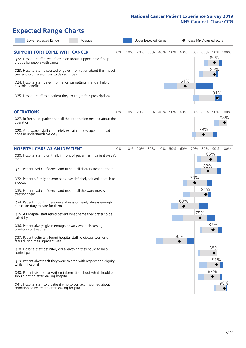# **Expected Range Charts**

| Lower Expected Range<br>Average                                                                                                                                                                                 |    |     |     |     | Upper Expected Range |     |     |     | Case Mix Adjusted Score |            |          |
|-----------------------------------------------------------------------------------------------------------------------------------------------------------------------------------------------------------------|----|-----|-----|-----|----------------------|-----|-----|-----|-------------------------|------------|----------|
| <b>SUPPORT FOR PEOPLE WITH CANCER</b><br>Q22. Hospital staff gave information about support or self-help<br>groups for people with cancer<br>Q23. Hospital staff discussed or gave information about the impact | 0% | 10% | 20% | 30% | 40%                  | 50% | 60% | 70% | 80%                     | 89%<br>89% | 90% 100% |
| cancer could have on day to day activities<br>Q24. Hospital staff gave information on getting financial help or<br>possible benefits                                                                            |    |     |     |     |                      |     | 61% |     |                         |            |          |
| Q25. Hospital staff told patient they could get free prescriptions                                                                                                                                              |    |     |     |     |                      |     |     |     |                         | 91%<br>◇   |          |
| <b>OPERATIONS</b>                                                                                                                                                                                               | 0% | 10% | 20% | 30% | 40%                  | 50% | 60% | 70% | 80%                     |            | 90% 100% |
| Q27. Beforehand, patient had all the information needed about the<br>operation                                                                                                                                  |    |     |     |     |                      |     |     |     |                         |            | 98%      |
| Q28. Afterwards, staff completely explained how operation had<br>gone in understandable way                                                                                                                     |    |     |     |     |                      |     |     |     | 79%                     |            |          |
| <b>HOSPITAL CARE AS AN INPATIENT</b>                                                                                                                                                                            | 0% | 10% | 20% | 30% | 40%                  | 50% | 60% | 70% | 80%                     |            | 90% 100% |
| Q30. Hospital staff didn't talk in front of patient as if patient wasn't<br>there                                                                                                                               |    |     |     |     |                      |     |     |     | 85%<br>82%              |            |          |
| Q31. Patient had confidence and trust in all doctors treating them                                                                                                                                              |    |     |     |     |                      |     |     |     |                         |            |          |
| Q32. Patient's family or someone close definitely felt able to talk to<br>a doctor                                                                                                                              |    |     |     |     |                      |     |     | 70% |                         |            |          |
| Q33. Patient had confidence and trust in all the ward nurses<br>treating them                                                                                                                                   |    |     |     |     |                      |     |     |     | 81%                     |            |          |
| Q34. Patient thought there were always or nearly always enough<br>nurses on duty to care for them                                                                                                               |    |     |     |     |                      |     | 60% |     |                         |            |          |
| Q35. All hospital staff asked patient what name they prefer to be<br>called by                                                                                                                                  |    |     |     |     |                      |     |     |     | 75%                     |            |          |
| Q36. Patient always given enough privacy when discussing<br>condition or treatment                                                                                                                              |    |     |     |     |                      |     |     |     |                         | 87%        |          |
| Q37. Patient definitely found hospital staff to discuss worries or<br>fears during their inpatient visit                                                                                                        |    |     |     |     |                      |     | 56% |     |                         |            |          |
| Q38. Hospital staff definitely did everything they could to help<br>control pain                                                                                                                                |    |     |     |     |                      |     |     |     |                         | 88%        |          |
| Q39. Patient always felt they were treated with respect and dignity<br>while in hospital                                                                                                                        |    |     |     |     |                      |     |     |     |                         | 91%        |          |
| Q40. Patient given clear written information about what should or<br>should not do after leaving hospital                                                                                                       |    |     |     |     |                      |     |     |     |                         | 87%        |          |
| Q41. Hospital staff told patient who to contact if worried about<br>condition or treatment after leaving hospital                                                                                               |    |     |     |     |                      |     |     |     |                         |            | 98%      |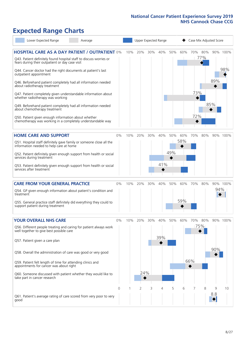# **Expected Range Charts**

| Lower Expected Range<br>Average                                                                                       |          |     | Upper Expected Range |        |     |     |     | Case Mix Adjusted Score |     |          |          |
|-----------------------------------------------------------------------------------------------------------------------|----------|-----|----------------------|--------|-----|-----|-----|-------------------------|-----|----------|----------|
| <b>HOSPITAL CARE AS A DAY PATIENT / OUTPATIENT 0%</b>                                                                 |          | 10% | 20%                  | 30%    | 40% | 50% | 60% | 70%                     | 80% |          | 90% 100% |
| Q43. Patient definitely found hospital staff to discuss worries or<br>fears during their outpatient or day case visit |          |     |                      |        |     |     |     |                         | 77% |          |          |
| Q44. Cancer doctor had the right documents at patient's last<br>outpatient appointment                                |          |     |                      |        |     |     |     |                         |     |          | 98%      |
| Q46. Beforehand patient completely had all information needed<br>about radiotherapy treatment                         |          |     |                      |        |     |     |     |                         |     | 89%      |          |
| Q47. Patient completely given understandable information about<br>whether radiotherapy was working                    |          |     |                      |        |     |     |     | 73%                     |     |          |          |
| Q49. Beforehand patient completely had all information needed<br>about chemotherapy treatment                         |          |     |                      |        |     |     |     |                         |     | 85%      |          |
| Q50. Patient given enough information about whether<br>chemotherapy was working in a completely understandable way    |          |     |                      |        |     |     |     | 72%                     |     |          |          |
| <b>HOME CARE AND SUPPORT</b>                                                                                          | 0%       | 10% | 20%                  | 30%    | 40% | 50% | 60% | 70%                     | 80% |          | 90% 100% |
| Q51. Hospital staff definitely gave family or someone close all the<br>information needed to help care at home        |          |     |                      |        |     |     | 58% |                         |     |          |          |
| Q52. Patient definitely given enough support from health or social<br>services during treatment                       |          |     |                      |        |     | 49% |     |                         |     |          |          |
| Q53. Patient definitely given enough support from health or social<br>services after treatment                        |          |     |                      |        | 41% |     |     |                         |     |          |          |
| <b>CARE FROM YOUR GENERAL PRACTICE</b>                                                                                | 0%       | 10% | 20%                  | $30\%$ | 40% | 50% | 60% | 70%                     | 80% |          | 90% 100% |
| Q54. GP given enough information about patient's condition and<br>treatment                                           |          |     |                      |        |     |     |     |                         |     | 94%      |          |
| Q55. General practice staff definitely did everything they could to<br>support patient during treatment               |          |     |                      |        |     |     | 59% |                         |     |          |          |
| <b>YOUR OVERALL NHS CARE</b>                                                                                          | 0%       | 10% | 20%                  | 30%    | 40% | 50% | 60% | 70%                     | 80% |          | 90% 100% |
| Q56. Different people treating and caring for patient always work<br>well together to give best possible care         |          |     |                      |        |     |     |     |                         | 75% |          |          |
| Q57. Patient given a care plan                                                                                        |          |     |                      |        | 39% |     |     |                         |     |          |          |
| Q58. Overall the administration of care was good or very good                                                         |          |     |                      |        |     |     |     |                         |     | 90%      |          |
| Q59. Patient felt length of time for attending clinics and<br>appointments for cancer was about right                 |          |     |                      |        |     |     |     | 66%                     |     |          |          |
| Q60. Someone discussed with patient whether they would like to<br>take part in cancer research                        |          |     | 24%                  |        |     |     |     |                         |     |          |          |
|                                                                                                                       | $\Omega$ |     | 2                    | 3      | Δ   | 5   | 6   |                         | 8   | 9<br>8.8 | 10       |
| Q61. Patient's average rating of care scored from very poor to very<br>good                                           |          |     |                      |        |     |     |     |                         |     |          |          |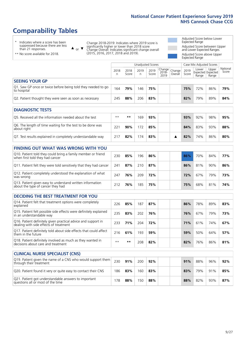# **Comparability Tables**

\* Indicates where a score has been suppressed because there are less than 21 responses.

\*\* No score available for 2018.

 $\triangle$  or  $\nabla$ 

Change 2018-2019: Indicates where 2019 score is significantly higher or lower than 2018 score Change Overall: Indicates significant change overall (2015, 2016, 2017, 2018 and 2019).

Adjusted Score below Lower Expected Range Adjusted Score between Upper and Lower Expected Ranges Adjusted Score above Upper Expected Range

|                                                                             |           |               |           | Unadjusted Scores |                           |                   |               | Case Mix Adjusted Scores |                                     |                   |
|-----------------------------------------------------------------------------|-----------|---------------|-----------|-------------------|---------------------------|-------------------|---------------|--------------------------|-------------------------------------|-------------------|
|                                                                             | 2018<br>n | 2018<br>Score | 2019<br>n | 2019<br>Score     | Change  <br>2018-<br>2019 | Change<br>Overall | 2019<br>Score | Lower<br>Range           | Upper<br>Expected Expected<br>Range | National<br>Score |
| <b>SEEING YOUR GP</b>                                                       |           |               |           |                   |                           |                   |               |                          |                                     |                   |
| Q1. Saw GP once or twice before being told they needed to go<br>to hospital | 164       | 79%           | 146       | 75%               |                           |                   | 75%           | 72%                      | 86%                                 | 79%               |
| Q2. Patient thought they were seen as soon as necessary                     | 245       | 88%           | 206       | 83%               |                           |                   | 82%           | 79%                      | 89%                                 | 84%               |
| <b>DIAGNOSTIC TESTS</b>                                                     |           |               |           |                   |                           |                   |               |                          |                                     |                   |

| O5. Received all the information needed about the test                    | $**$         | **  | 169 | 93% |  | 93% | 92% | 98% | 95% |
|---------------------------------------------------------------------------|--------------|-----|-----|-----|--|-----|-----|-----|-----|
| Q6. The length of time waiting for the test to be done was<br>about right | $22^{\circ}$ | 90% | 172 | 85% |  | 84% | 83% | 93% | 88% |
| Q7. Test results explained in completely understandable way               |              | 82% | 174 | 83% |  | 82% | 74% | 86% | 80% |

| <b>FINDING OUT WHAT WAS WRONG WITH YOU</b>                                                      |     |     |     |     |     |     |     |     |
|-------------------------------------------------------------------------------------------------|-----|-----|-----|-----|-----|-----|-----|-----|
| Q10. Patient told they could bring a family member or friend<br>when first told they had cancer | 230 | 85% | 196 | 86% | 86% | 70% | 84% | 77% |
| Q11. Patient felt they were told sensitively that they had cancer                               | 241 | 87% | 210 | 87% | 86% | 81% | 90% | 86% |
| Q12. Patient completely understood the explanation of what<br>was wrong                         | 247 | 76% | 209 | 72% | 72% | 67% | 79% | 73% |
| Q13. Patient given easy to understand written information<br>about the type of cancer they had  | 212 | 76% | 185 | 75% | 75% | 68% | 81% | 74% |

| <b>DECIDING THE BEST TREATMENT FOR YOU</b>                                                              |      |     |     |     |     |     |     |     |
|---------------------------------------------------------------------------------------------------------|------|-----|-----|-----|-----|-----|-----|-----|
| Q14. Patient felt that treatment options were completely<br>explained                                   | 226  | 85% | 187 | 87% | 86% | 78% | 89% | 83% |
| Q15. Patient felt possible side effects were definitely explained<br>in an understandable way           | 235  | 83% | 202 | 76% | 76% | 67% | 79% | 73% |
| Q16. Patient definitely given practical advice and support in<br>dealing with side effects of treatment | 233  | 71% | 204 | 72% | 71% | 61% | 74% | 67% |
| Q17. Patient definitely told about side effects that could affect<br>them in the future                 | 216  | 61% | 193 | 59% | 59% | 50% | 64% | 57% |
| Q18. Patient definitely involved as much as they wanted in decisions about care and treatment           | $**$ | **  | 208 | 82% | 82% | 76% | 86% | 81% |

| <b>CLINICAL NURSE SPECIALIST (CNS)</b>                                                    |     |     |     |     |     |     |     |     |
|-------------------------------------------------------------------------------------------|-----|-----|-----|-----|-----|-----|-----|-----|
| Q19. Patient given the name of a CNS who would support them<br>through their treatment    | 230 | 91% | 200 | 92% | 91% | 88% | 96% | 92% |
| Q20. Patient found it very or quite easy to contact their CNS                             | 186 | 83% | 160 | 83% | 83% | 79% | 91% | 85% |
| Q21. Patient got understandable answers to important<br>questions all or most of the time | 178 | 88% | 150 | 88% | 88% | 82% | 93% | 87% |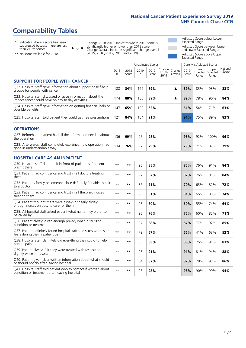# **Comparability Tables**

\* Indicates where a score has been suppressed because there are less than 21 responses.

\*\* No score available for 2018.

 $\triangle$  or  $\nabla$ 

Change 2018-2019: Indicates where 2019 score is significantly higher or lower than 2018 score Change Overall: Indicates significant change overall (2015, 2016, 2017, 2018 and 2019).

Adjusted Score below Lower Expected Range Adjusted Score between Upper and Lower Expected Ranges Adjusted Score above Upper Expected Range

|                                                                                                                   |              |               | <b>Unadjusted Scores</b> |               |                         |                   |               | Case Mix Adjusted Scores            |                |                   |
|-------------------------------------------------------------------------------------------------------------------|--------------|---------------|--------------------------|---------------|-------------------------|-------------------|---------------|-------------------------------------|----------------|-------------------|
|                                                                                                                   | 2018<br>n    | 2018<br>Score | 2019<br>n.               | 2019<br>Score | Change<br>2018-<br>2019 | Change<br>Overall | 2019<br>Score | Lower<br>Expected Expected<br>Range | Upper<br>Range | National<br>Score |
| <b>SUPPORT FOR PEOPLE WITH CANCER</b>                                                                             |              |               |                          |               |                         |                   |               |                                     |                |                   |
| Q22. Hospital staff gave information about support or self-help<br>groups for people with cancer                  | 188          | 84%           | 162                      | 89%           |                         | ▲                 | 89%           | 83%                                 | 93%            | 88%               |
| Q23. Hospital staff discussed or gave information about the<br>impact cancer could have on day to day activities  | 174          | 88%           | 136                      | 89%           |                         | ▲                 | 89%           | 78%                                 | 90%            | 84%               |
| Q24. Hospital staff gave information on getting financial help or<br>possible benefits                            | 147          | 65%           | 120                      | 62%           |                         |                   | 61%           | 54%                                 | 71%            | 63%               |
| Q25. Hospital staff told patient they could get free prescriptions                                                | 121          | 84%           | 104                      | 91%           |                         |                   | 91%           | 75%                                 | 89%            | 82%               |
| <b>OPERATIONS</b>                                                                                                 |              |               |                          |               |                         |                   |               |                                     |                |                   |
| Q27. Beforehand, patient had all the information needed about<br>the operation                                    | 136          | 99%           | 95                       | 98%           |                         |                   | 98%           | 92%                                 | 100%           | 96%               |
| Q28. Afterwards, staff completely explained how operation had<br>gone in understandable way                       | 134          | 76%           | 97                       | 79%           |                         |                   | 79%           | 71%                                 | 87%            | 79%               |
| <b>HOSPITAL CARE AS AN INPATIENT</b>                                                                              |              |               |                          |               |                         |                   |               |                                     |                |                   |
| Q30. Hospital staff didn't talk in front of patient as if patient<br>wasn't there                                 | $* *$        | **            | 96                       | 85%           |                         |                   | 85%           | 76%                                 | 91%            | 84%               |
| Q31. Patient had confidence and trust in all doctors treating<br>them                                             | $* *$        | $***$         | 97                       | 82%           |                         |                   | 82%           | 76%                                 | 91%            | 84%               |
| Q32. Patient's family or someone close definitely felt able to talk<br>to a doctor                                | $* *$        | $***$         | 86                       | 71%           |                         |                   | 70%           | 63%                                 | 82%            | 72%               |
| Q33. Patient had confidence and trust in all the ward nurses<br>treating them                                     | $\star\star$ | **            | 98                       | 81%           |                         |                   | 81%           | 65%                                 | 83%            | 74%               |
| Q34. Patient thought there were always or nearly always<br>enough nurses on duty to care for them                 | $* *$        | **            | 98                       | 60%           |                         |                   | 60%           | 55%                                 | 74%            | 64%               |
| Q35. All hospital staff asked patient what name they prefer to<br>be called by                                    | $* *$        | **            | 96                       | 76%           |                         |                   | 75%           | 60%                                 | 82%            | 71%               |
| Q36. Patient always given enough privacy when discussing<br>condition or treatment                                | $**$         | **            | 97                       | 88%           |                         |                   | 87%           | 77%                                 | 92%            | 85%               |
| Q37. Patient definitely found hospital staff to discuss worries or<br>fears during their inpatient visit          | $**$         | **            | 79                       | 57%           |                         |                   | 56%           | 41%                                 | 63%            | 52%               |
| Q38. Hospital staff definitely did everything they could to help<br>control pain                                  | $* *$        | **            | 88                       | 89%           |                         |                   | 88%           | 75%                                 | 91%            | 83%               |
| Q39. Patient always felt they were treated with respect and<br>dignity while in hospital                          | $***$        | **            | 98                       | 91%           |                         |                   | 91%           | 81%                                 | 94%            | 88%               |
| Q40. Patient given clear written information about what should<br>or should not do after leaving hospital         | $**$         | **            | 84                       | 87%           |                         |                   | 87%           | 78%                                 | 93%            | 86%               |
| Q41. Hospital staff told patient who to contact if worried about<br>condition or treatment after leaving hospital | $**$         | **            | 95                       | 98%           |                         |                   | 98%           | 90%                                 | 99%            | 94%               |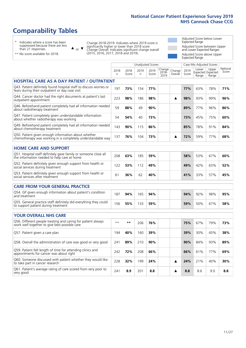# **Comparability Tables**

\* Indicates where a score has been suppressed because there are less than 21 responses.

\*\* No score available for 2018.

 $\triangle$  or  $\nabla$ 

Change 2018-2019: Indicates where 2019 score is significantly higher or lower than 2018 score Change Overall: Indicates significant change overall (2015, 2016, 2017, 2018 and 2019).

Adjusted Score below Lower Expected Range Adjusted Score between Upper and Lower Expected Ranges Adjusted Score above Upper Expected Range

|                                                                                                                       |              |               | Unadjusted Scores |               |                            |                   |               | Case Mix Adjusted Scores |                                     |                   |
|-----------------------------------------------------------------------------------------------------------------------|--------------|---------------|-------------------|---------------|----------------------------|-------------------|---------------|--------------------------|-------------------------------------|-------------------|
|                                                                                                                       | 2018<br>n    | 2018<br>Score | 2019<br>n         | 2019<br>Score | Change<br>$2018 -$<br>2019 | Change<br>Overall | 2019<br>Score | Lower<br>Range           | Upper<br>Expected Expected<br>Range | National<br>Score |
| <b>HOSPITAL CARE AS A DAY PATIENT / OUTPATIENT</b>                                                                    |              |               |                   |               |                            |                   |               |                          |                                     |                   |
| Q43. Patient definitely found hospital staff to discuss worries or<br>fears during their outpatient or day case visit | 197          | 73%           | 154               | 77%           |                            |                   | 77%           | 63%                      | 78%                                 | 71%               |
| Q44. Cancer doctor had the right documents at patient's last<br>outpatient appointment                                | 223          | 98%           | 186               | 98%           |                            | ▲                 | 98%           | 93%                      | 99%                                 | 96%               |
| Q46. Beforehand patient completely had all information needed<br>about radiotherapy treatment                         | 59           | 88%           | 49                | 90%           |                            |                   | 89%           | 77%                      | 96%                                 | 86%               |
| Q47. Patient completely given understandable information<br>about whether radiotherapy was working                    | 54           | 54%           | 40                | 73%           |                            |                   | 73%           | 45%                      | 75%                                 | 60%               |
| Q49. Beforehand patient completely had all information needed<br>about chemotherapy treatment                         | 143          | 90%           | 115               | 86%           |                            |                   | 85%           | 78%                      | 91%                                 | 84%               |
| Q50. Patient given enough information about whether<br>chemotherapy was working in a completely understandable way    | 137          | 76%           | 104               | 73%           |                            | ▲                 | 72%           | 59%                      | 77%                                 | 68%               |
| <b>HOME CARE AND SUPPORT</b>                                                                                          |              |               |                   |               |                            |                   |               |                          |                                     |                   |
| Q51. Hospital staff definitely gave family or someone close all the information needed to help care at home           | 208          | 63%           | 185               | 59%           |                            |                   | 58%           | 53%                      | 67%                                 | 60%               |
| Q52. Patient definitely given enough support from health or<br>social services during treatment                       | 122          | 53%           | 112               | 49%           |                            |                   | 49%           | 42%                      | 63%                                 | 52%               |
| Q53. Patient definitely given enough support from health or<br>social services after treatment                        | 61           | 36%           | 62                | 40%           |                            |                   | 41%           | 33%                      | 57%                                 | 45%               |
| <b>CARE FROM YOUR GENERAL PRACTICE</b>                                                                                |              |               |                   |               |                            |                   |               |                          |                                     |                   |
| Q54. GP given enough information about patient's condition<br>and treatment                                           | 187          | 94%           | 165               | 94%           |                            |                   | 94%           | 92%                      | 98%                                 | 95%               |
| Q55. General practice staff definitely did everything they could<br>to support patient during treatment               | 156          | 55%           | 133               | 59%           |                            |                   | 59%           | 50%                      | 67%                                 | 58%               |
| <b>YOUR OVERALL NHS CARE</b>                                                                                          |              |               |                   |               |                            |                   |               |                          |                                     |                   |
|                                                                                                                       |              |               |                   |               |                            |                   |               |                          |                                     |                   |
| Q56. Different people treating and caring for patient always<br>work well together to give best possible care         | $\star\star$ | $***$         | 206               | 76%           |                            |                   | 75%           | 67%                      | 79%                                 | 73%               |
| Q57. Patient given a care plan                                                                                        | 194          | 40%           | 160               | 39%           |                            |                   | 39%           | 30%                      | 45%                                 | 38%               |
| Q58. Overall the administration of care was good or very good                                                         | 241          | 89%           | 210               | 90%           |                            |                   | 90%           | 84%                      | 93%                                 | 89%               |
| Q59. Patient felt length of time for attending clinics and<br>appointments for cancer was about right                 | 242          | 72%           | 208               | 66%           |                            |                   | 66%           | 61%                      | 77%                                 | 69%               |
| Q60. Someone discussed with patient whether they would like<br>to take part in cancer research                        | 228          | 32%           | 199               | 24%           |                            | ▲                 | 24%           | 21%                      | 40%                                 | 30%               |
| Q61. Patient's average rating of care scored from very poor to<br>very good                                           | 241          | 8.9           | 201               | 8.8           |                            | ▲                 | 8.8           | 8.6                      | 9.0                                 | 8.8               |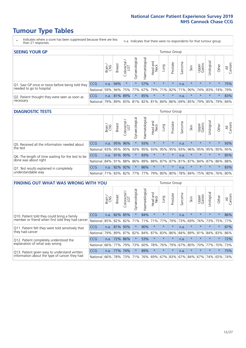# **Tumour Type Tables**

- \* Indicates where a score has been suppressed because there are less than 21 responses.
- n.a. Indicates that there were no respondents for that tumour group.

| <b>SEEING YOUR GP</b>                           |            |              |               |            |                    |                |                                   |         | Tumour Group |         |         |                 |                                                           |         |                |
|-------------------------------------------------|------------|--------------|---------------|------------|--------------------|----------------|-----------------------------------|---------|--------------|---------|---------|-----------------|-----------------------------------------------------------|---------|----------------|
|                                                 |            | Brain<br>CNS | <b>Breast</b> | Colorectal | ᠊ᢛ<br>Gynaecologic | Haematological | Head and<br>Neck                  | Lung    | Prostate     | Sarcoma | Skin    | Upper<br>Gastro | $\sigma$<br>Irologica                                     | Other   | All<br>Cancers |
| Q1. Saw GP once or twice before being told they | <b>CCG</b> |              | n.a. 94%      | $\star$    | $\star$            | 57%            | $\star$                           | $\star$ | $\star$      | n.a.    | $\star$ | $\star$         | $\star$                                                   | $\star$ | 75%            |
| needed to go to hospital                        | National   | 59%          |               |            | 94% 75% 77%        |                | 67%   79%   71%   82%   71%   90% |         |              |         |         |                 | 74% 83% 74% 79%                                           |         |                |
| Q2. Patient thought they were seen as soon as   | <b>CCG</b> | n.a.         |               | 81% 89%    | $\star$            | 85%            | $\star$                           | $\star$ | $\star$      | n.a.    | $\star$ | $\star$         | $\star$                                                   | $\star$ | 83%            |
| necessary                                       | National   | 79%          |               | 89% 83%    |                    |                |                                   |         |              |         |         |                 | 81%   82%   81%   84%   86%   69%   85%   79%   85%   79% |         | 84%            |

#### **DIAGNOSTIC TESTS** Tumour Group

|                                                   |                                          | Brain | <b>Breast</b> | Colorectal<br>LGT | ᠊ᢛ<br>Gynaecologic | Haematological | Head and<br>Neck | Lung        | Prostate | Sarcoma | Skin    | Upper<br>Gastro | rological                                   | Other   | All<br>Cancers |
|---------------------------------------------------|------------------------------------------|-------|---------------|-------------------|--------------------|----------------|------------------|-------------|----------|---------|---------|-----------------|---------------------------------------------|---------|----------------|
| Q5. Received all the information needed about     | <b>CCG</b>                               | n.a.  |               | 95% 96%           | $\star$            | 93%            | $\star$          | $\star$     | $\star$  | n.a.    |         | $\star$         | $\star$                                     | $\star$ | 93%            |
| the test                                          | National                                 | 93%   |               | 95% 95%           |                    | 93% 95%        |                  | 93% 95% 95% |          | 93%     | 96%     |                 | 95% 95%                                     | 95%     | 95%            |
| Q6. The length of time waiting for the test to be | <b>CCG</b>                               | n.a.  |               | 91% 95%           | $\star$            | 83%            | $\star$          | $\star$     | $\star$  | n.a.    | $\star$ | $\star$         | $\star$                                     | $\star$ | 85%            |
| done was about right                              | <b>National</b>                          |       |               | 84% 91% 88%       |                    |                |                  |             |          |         |         |                 | 86% 89% 88% 87% 87% 81% 87% 84% 87% 86% 88% |         |                |
| Q7. Test results explained in completely          | <b>CCG</b>                               | n.a.  |               | 82% 92%           | $\star$            | 86%            | $\star$          | $\star$     | $\star$  | n.a.    | $\star$ | $\star$         | $\star$                                     | $\star$ | 83%            |
| understandable way                                | National 71% 83% 82% 77% 77% 79% 80% 80% |       |               |                   |                    |                |                  |             |          |         |         |                 | 78% 84% 75% 80% 76% 80%                     |         |                |

| <b>FINDING OUT WHAT WAS WRONG WITH YOU</b>        |            |       |               |                        |                |                |                        |             | <b>Tumour Group</b> |         |         |                 |           |         |                |
|---------------------------------------------------|------------|-------|---------------|------------------------|----------------|----------------|------------------------|-------------|---------------------|---------|---------|-----------------|-----------|---------|----------------|
|                                                   |            | Brain | <b>Breast</b> | olorectal.<br>LGT<br>Ü | Gynaecological | Haematological | ad and<br>Neck<br>Head | Lung        | Prostate            | Sarcoma | Skin    | Upper<br>Gastro | Urologica | Other   | All<br>Cancers |
| Q10. Patient told they could bring a family       | <b>CCG</b> | n.a.  | 82%           | 85%                    | $\star$        | 84%            | $\star$                | $\star$     | $\star$             | n.a.    | $\star$ | $\star$         | $\star$   | $\star$ | 86%            |
| member or friend when first told they had cancer  | National   | 85%   | 82%           | 82%                    | 71%            | 71%            | 71%                    | 77%         | 79%                 | 73%     | 69%     | 76%             | 73%       | 75%     | 77%            |
| Q11. Patient felt they were told sensitively that | <b>CCG</b> | n.a.  | 81%           | 93%                    | $\star$        | 90%            | $\star$                | $\star$     | $\star$             | n.a.    | $\star$ | $\star$         | $\star$   | $\star$ | 87%            |
| they had cancer                                   | National   | 79%   | 89% 87%       |                        | 82%            |                |                        | 84% 87% 83% | 86%                 | 84%     | 89%     | 81%             | 84% 83%   |         | 86%            |
| Q12. Patient completely understood the            | <b>CCG</b> | n.a.  | 72%           | 86%                    |                | 53%            | $\star$                | $\star$     | $\star$             | n.a.    |         | $\star$         | $\star$   | $\star$ | 72%            |
| explanation of what was wrong                     | National   | 66%   | 77%           | 79%                    | 73%            | 60%            | 78%                    | 76%         | 79%                 | 67%     | 80%     | 70%             | 77%       | 70%     | 73%            |
| Q13. Patient given easy to understand written     | <b>CCG</b> | n.a.  | 77%           | 74%                    |                | 89%            | $\star$                | $\star$     | $\star$             | n.a.    | $\star$ | $\star$         | $\star$   | $\star$ | 75%            |
| information about the type of cancer they had     | National   | 66%   | 78%           | 73%                    |                |                |                        |             | 71% 76% 69% 67% 83% |         | 67% 84% | 67%             | 74%       | 65%     | 74%            |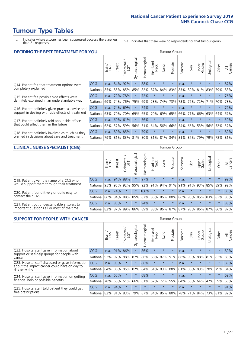# **Tumour Type Tables**

\* Indicates where a score has been suppressed because there are less than 21 responses.

n.a. Indicates that there were no respondents for that tumour group.

| <b>DECIDING THE BEST TREATMENT FOR YOU</b>         |          |       |               |                             |                |                |                         |         | <b>Tumour Group</b> |         |                                     |                 |            |         |                |
|----------------------------------------------------|----------|-------|---------------|-----------------------------|----------------|----------------|-------------------------|---------|---------------------|---------|-------------------------------------|-----------------|------------|---------|----------------|
|                                                    |          | Brain | <b>Breast</b> | olorectal.<br>LGT<br>$\cup$ | Gynaecological | Haematological | ead and<br>Neck<br>Head | Lung    | Prostate            | Sarcoma | Skin                                | Upper<br>Gastro | Jrological | Other   | All<br>Cancers |
| Q14. Patient felt that treatment options were      | CCG      | n.a.  | 84%           | 92%                         | $\star$        | 88%            | $\star$                 | $\star$ | $\star$             | n.a.    | $\star$                             | $\star$         | $\star$    | $\star$ | 87%            |
| completely explained                               | National | 85%   | 85%           | 85%                         | 85%            | 82%            | 87%                     | 84%     | 83%                 | 83%     | 89%                                 | 81%             | 83%        | 79%     | 83%            |
| Q15. Patient felt possible side effects were       | CCG      | n.a.  | 72%           | 78%                         | $\star$        | 72%            | $\star$                 | $\star$ | $\star$             | n.a.    | $\star$                             | $\star$         | $\star$    | $\star$ | 76%            |
| definitely explained in an understandable way      | National | 69%   | 74%           | 76%                         | 75%            | 69%            | 73%                     | 74%     | 73%                 | 73%     | 77%                                 | 72%             | 71%        | 70%     | 73%            |
| Q16. Patient definitely given practical advice and | CCG      | n.a.  | 74%           | 69%                         | $\star$        | 74%            | $\star$                 | $\star$ | $\star$             | n.a.    | $\star$                             | $\star$         | $\star$    | $\star$ | 72%            |
| support in dealing with side effects of treatment  | National | 63%   | 70%           | 70%                         | 69%            | 65%            | 70%                     | 69%     | 65%                 | 66%     | 71%                                 | 66%             | 63%        | 64%     | 67%            |
| Q17. Patient definitely told about side effects    | CCG      | n.a.  | 60%           | 61%                         | $\star$        | 56%            | $\star$                 | $\star$ | $\star$             | n.a.    | $\star$                             | $\star$         | $\star$    | $\star$ | 59%            |
| that could affect them in the future               | National | 62%   | 57%           | 59%                         | 56%            | 51%            | 64%                     | 56%     | 66%                 | 54%     | 66%                                 | 53%             | 56%        | 52%     | 57%            |
| Q18. Patient definitely involved as much as they   | CCG      | n.a.  | 80%           | 85%                         | $\star$        | 79%            | $\star$                 | $\star$ | $\star$             | n.a.    | $\star$                             | $\star$         | $\star$    | $\star$ | 82%            |
| wanted in decisions about care and treatment       | National | 79%   |               |                             |                |                |                         |         |                     |         | 81% 83% 81% 80% 81% 81% 84% 81% 87% | 79%             | 79%        | 78%     | 81%            |

#### **CLINICAL NURSE SPECIALIST (CNS)** Tumour Group

|                                             |            | Brain | <b>Breast</b> | Colorectal<br>LGT | $\sigma$<br>Gynaecologic | Haematological | Head and<br>Neck | Lung    | Prostate | Sarcoma | Skin                        | Upper<br>Gastro | Urologica       | Other   | All<br>Cancers |
|---------------------------------------------|------------|-------|---------------|-------------------|--------------------------|----------------|------------------|---------|----------|---------|-----------------------------|-----------------|-----------------|---------|----------------|
| Q19. Patient given the name of a CNS who    | <b>CCG</b> | n.a.  |               | 94% 88%           |                          | 97%            | $\star$          | $\star$ | $\star$  | n.a.    | $\star$                     | $\star$         | $\star$         | $\star$ | 92%            |
| would support them through their treatment  | National   | 95%   | 95%           | 92%               | 95%                      | 92%            | 91%              |         | 94% 91%  | 91%     | 91%                         | 93%             | 85%             | 89%     | 92%            |
| Q20. Patient found it very or quite easy to | <b>CCG</b> | n.a.  | 74%           |                   |                          | 100%           | $\star$          | $\star$ | $\star$  | n.a.    |                             | $\star$         | $\star$         | $\star$ | 83%            |
| contact their CNS                           | National   | 86%   | 84%           | 88%               | 85%                      |                | 87% 86% 86%      |         | 80%      | 86%     | 90%                         | 85%             | 83% 83% 85%     |         |                |
| Q21. Patient got understandable answers to  | <b>CCG</b> | n.a.  | 85%           | $\star$           | $\star$                  | 94%            | $\star$          | $\star$ | $\star$  | n.a.    | $\star$                     | $\star$         | $\star$         | $\star$ | 88%            |
| important questions all or most of the time | National   | 82%   | 87%           | 89%               |                          |                |                  |         |          |         | 86% 89% 88% 86% 87% 87% 93% |                 | 86% 87% 86% 87% |         |                |

| <b>SUPPORT FOR PEOPLE WITH CANCER</b>                                                             |            |       |               |                 |                |                |                        |         | <b>Tumour Group</b> |         |         |                 |                         |         |                |
|---------------------------------------------------------------------------------------------------|------------|-------|---------------|-----------------|----------------|----------------|------------------------|---------|---------------------|---------|---------|-----------------|-------------------------|---------|----------------|
|                                                                                                   |            | Brain | <b>Breast</b> | ∽<br>Colorectal | Gynaecological | Haematological | ad and<br>Neck<br>Head | Lung    | Prostate            | Sarcoma | Skin    | Upper<br>Gastro | Irological<br>$\supset$ | Other   | All<br>Cancers |
| Q22. Hospital staff gave information about<br>support or self-help groups for people with         | <b>CCG</b> | n.a.  | 91%           | 86%             | $\star$        | 86%            | $\star$                | $\star$ | $\star$             | n.a.    | $\star$ | $\star$         | $\star$                 | $\star$ | 89%            |
| cancer                                                                                            | National   | 92%   | 92%           | 88%             | 87%            | 86%            | 88%                    | 87%     | 91%                 | 86%     | 90%     | 88%             | 81%                     | 83%     | 88%            |
| Q23. Hospital staff discussed or gave information<br>about the impact cancer could have on day to | CCG        | n.a.  | 95%           | $\star$         | $\star$        | 86%            | $\star$                | $\star$ | $\star$             | n.a.    | $\star$ | $\star$         | $\star$                 | $\star$ | 89%            |
| day activities                                                                                    | National   | 84%   | 86%           | 85%             | 82%            | 84%            | 84%                    | 83%     | 88%                 | 81%     | 86%     | 83%             | 78%                     | 79%     | 84%            |
| Q24. Hospital staff gave information on getting                                                   | <b>CCG</b> | n.a.  | 65%           |                 | $\star$        | 68%            | $\star$                | $\star$ | $\star$             | n.a.    |         | $\star$         | $\star$                 | $\star$ | 62%            |
| financial help or possible benefits                                                               | National   | 78%   | 68%           | 61%             | 66%            | 61%            | 67%                    | 72%     | 55%                 | 64%     | 60%     | 64%             | 47%                     | 59%     | 63%            |
| Q25. Hospital staff told patient they could get                                                   | <b>CCG</b> | n.a.  | 94%           |                 | $\star$        | $\star$        | $\star$                | $\star$ | $\star$             | n.a.    | $\star$ | $\star$         | $\star$                 | $\star$ | 91%            |
| free prescriptions                                                                                | National   | 82%   |               | 81% 83%         | 79%            | 87%            |                        |         | 84% 86% 80%         | 78%     | 71%     | 84%             |                         | 73% 81% | 82%            |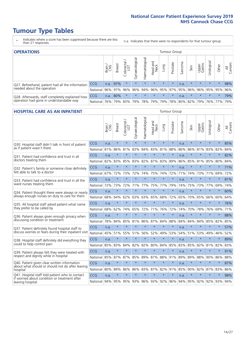# **Tumour Type Tables**

- \* Indicates where a score has been suppressed because there are less than 21 responses.
- n.a. Indicates that there were no respondents for that tumour group.

| <b>OPERATIONS</b>                                |              |              |               |            |                |                |                  |         | Tumour Group    |         |         |                 |                                                  |         |                |
|--------------------------------------------------|--------------|--------------|---------------|------------|----------------|----------------|------------------|---------|-----------------|---------|---------|-----------------|--------------------------------------------------|---------|----------------|
|                                                  |              | Brain<br>CNS | <b>Breast</b> | Colorectal | Gynaecological | Haematological | Head and<br>Neck | Dung    | Prostate        | Sarcoma | Skin    | Upper<br>Gastro | σ<br>Jrologica                                   | Other   | All<br>Cancers |
| Q27. Beforehand, patient had all the information | <b>CCG</b>   | n.a.         | 97%           | $\star$    | $\star$        | $\star$        | $\star$          | $\star$ | $\star$         | n.a.    | $\star$ | $\star$         | $\star$                                          | $\star$ | 98%            |
| needed about the operation                       | National 96% |              |               | 97% 96%    | 96%            |                |                  |         | 94% 96% 95% 97% |         | 95% 96% | 96%             |                                                  | 95% 95% | 96%            |
| Q28. Afterwards, staff completely explained how  | <b>CCG</b>   | n.a.         | 80%           | $\star$    | $\star$        | $\star$        | $\star$          | $\star$ | $\star$         | n.a.    | $\star$ | $\star$         | $\star$                                          | $\star$ | 79%            |
| operation had gone in understandable way         | National 76% |              |               | 79% 83%    |                |                |                  |         |                 |         |         |                 | 79%  78%  79%  79%  78%  80%  82%  79%  76%  77% |         | 79%            |

#### **HOSPITAL CARE AS AN INPATIENT** Tumour Group

|                                                                                                  |            | Brain | <b>Breast</b> | $\frac{\text{Colored}}{\text{LGT}}$ | Gynaecological | Haematological          | Head and<br>Neck | Lung    | Prostate | Sarcoma | Skin    | Upper<br>Gastro | Urological      | Other   | Cancers<br>$\overline{\overline{z}}$ |
|--------------------------------------------------------------------------------------------------|------------|-------|---------------|-------------------------------------|----------------|-------------------------|------------------|---------|----------|---------|---------|-----------------|-----------------|---------|--------------------------------------|
| Q30. Hospital staff didn't talk in front of patient                                              | CCG        | n.a.  | $\star$       | $\star$                             | $\star$        | $\star$                 | $\star$          | $\star$ | $\star$  | n.a.    | $\star$ | $\star$         | $\star$         | $\star$ | 85%                                  |
| as if patient wasn't there                                                                       | National   | 81%   | 86%           | 81%                                 | 83%            | 84%                     | 83%              | 81%     | 88%      | 86%     | 86%     | 81%             | 83%             | 82%     | 84%                                  |
| 031. Patient had confidence and trust in all                                                     | CCG        | n.a.  | $\star$       | $\star$                             | $\star$        | $\star$                 | $\star$          | $\star$ | $\star$  | n.a.    | $\star$ | $\star$         | $\star$         | $\star$ | 82%                                  |
| doctors treating them                                                                            | National   | 82%   | 83%           | 85%                                 | 83%            | 82%                     |                  | 87% 83% | 89%      | 86%     | 85%     |                 | 81% 85%         | 80%     | 84%                                  |
| Q32. Patient's family or someone close definitely                                                | CCG        | n.a.  | $\star$       | $\star$                             | $\star$        | $\star$                 | $\star$          | $\star$ | $\star$  | n.a.    | $\star$ | $\star$         | $\star$         | $\star$ | 71%                                  |
| felt able to talk to a doctor                                                                    | National   | 67%   | 72%           | 73%                                 | 72%            | 74%                     | 75%              | 74%     | 72%      | 71%     | 74%     | 73%             | 71%             | 69%     | 72%                                  |
| Q33. Patient had confidence and trust in all the                                                 | CCG        | n.a.  | $\star$       | $\star$                             | $\star$        | $\star$                 | $\star$          | $\star$ | $\star$  | n.a.    | $\star$ | $\star$         | $\star$         | $\star$ | 81%                                  |
| ward nurses treating them                                                                        | National   | 72%   | 73%           | 72%                                 |                | 71% 77%                 | 75%              | 77%     | 79%      | 74%     | 75%     |                 | 73% 77%         | 69%     | 74%                                  |
| Q34. Patient thought there were always or nearly                                                 | CCG        | n.a.  | $\star$       | $\star$                             | $\star$        | $\star$                 | $\star$          | $\star$ | $\star$  | n.a.    | $\star$ | $\star$         | $\star$         | $\star$ | 60%                                  |
| always enough nurses on duty to care for them                                                    | National   | 68%   | 64%           | 62%                                 | 63%            | 63%                     | 65%              | 68%     | 72%      | 65%     | 70%     | 65%             | 66%             | 60%     | 64%                                  |
| Q35. All hospital staff asked patient what name                                                  | CCG        | n.a.  | $\star$       | $\star$                             | $\star$        | $\star$                 | $\star$          | $\star$ | $\star$  | n.a.    | $\star$ | $\star$         | $\star$         | $\star$ | 76%                                  |
| they prefer to be called by                                                                      | National   | 68%   | 62%           | 74%                                 | 65%            | 72%                     | 71%              | 76%     | 72%      | 74%     | 70%     | 78%             | 76%             | 69%     | 71%                                  |
| Q36. Patient always given enough privacy when                                                    | CCG        | n.a.  | $\star$       | $\star$                             | $\star$        | $\star$                 | $\star$          | $\star$ | $\star$  | n.a.    | $\star$ | $\star$         | $\star$         | $\star$ | 88%                                  |
| discussing condition or treatment                                                                | National   | 78%   | 84%           | 85%                                 | 81%            | 86%                     |                  | 87% 84% | 88%      | 84%     | 84%     | 84%             | 85%             | 82%     | 85%                                  |
| Q37. Patient definitely found hospital staff to                                                  | <b>CCG</b> | n.a.  | $\star$       | $\star$                             | $\star$        | $\star$                 | $\star$          | $\star$ | $\star$  | n.a.    | $\star$ | $\star$         | $\star$         | $\star$ | 57%                                  |
| discuss worries or fears during their inpatient visit                                            | National   | 45%   | 51%           | 55%                                 |                | 51% 56%                 | 52%              | 49%     | 53%      | 54%     | 51%     |                 | 53% 49%         | 46%     | 52%                                  |
| Q38. Hospital staff definitely did everything they                                               | CCG        | n.a.  | $\star$       | $\star$                             | $\star$        | $\star$                 | $\star$          | $\star$ | $\star$  | n.a.    | $\star$ | $\star$         | $\star$         | $\star$ | 89%                                  |
| could to help control pain                                                                       | National   | 85%   | 83%           | 84%                                 | 82%            | 82%                     | 80%              | 84%     | 85%      | 83%     | 85%     | 82%             | 81%             | 82%     | 83%                                  |
| Q39. Patient always felt they were treated with                                                  | CCG        | n.a.  | $\star$       | $\star$                             | $\star$        | $\star$                 | $\star$          | $\star$ | $\star$  | n.a.    | $\star$ |                 | $\star$         | $\star$ | 91%                                  |
| respect and dignity while in hospital                                                            | National   | 85%   | 87%           | 87%                                 | 85%            | 89%                     |                  | 87% 88% | 91%      | 89%     | 89%     | 88%             | 90%             | 86%     | 88%                                  |
| Q40. Patient given clear written information<br>about what should or should not do after leaving | CCG        | n.a.  | $\star$       | $\star$                             | $\star$        | $\star$                 | $\star$          | $\star$ | $\star$  | n.a.    | $\star$ | $\star$         | $\star$         | $\star$ | 87%                                  |
| hospital                                                                                         | National   | 80%   | 89%           | 86%                                 | 86%            | 83%                     |                  | 87% 82% | 91%      | 85%     | 90%     | 82%             | 87%             | 83%     | 86%                                  |
| Q41. Hospital staff told patient who to contact<br>if worried about condition or treatment after | CCG        | n.a.  | $\star$       | $\star$                             | $\star$        | $\star$                 | $\star$          | $\star$ | $\star$  | n.a.    | $\star$ | $\star$         | $\star$         | $\star$ | 98%                                  |
| leaving hospital                                                                                 | National I | 94%   |               |                                     |                | 95% 95% 93% 96% 93% 92% |                  |         | 96%      |         |         |                 | 94% 95% 92% 92% | 93%     | 94%                                  |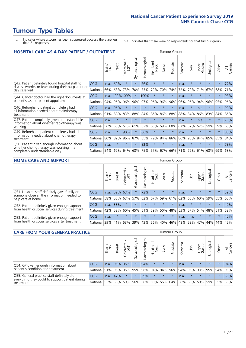# **Tumour Type Tables**

- \* Indicates where a score has been suppressed because there are less than 21 responses.
- n.a. Indicates that there were no respondents for that tumour group.

| <b>HOSPITAL CARE AS A DAY PATIENT / OUTPATIENT</b>                                                                       |            |       |               |                            |                |                       |                         |         |          | <b>Tumour Group</b> |         |                 |            |         |                |
|--------------------------------------------------------------------------------------------------------------------------|------------|-------|---------------|----------------------------|----------------|-----------------------|-------------------------|---------|----------|---------------------|---------|-----------------|------------|---------|----------------|
|                                                                                                                          |            | Brain | <b>Breast</b> | ╮<br>olorectal<br>LGT<br>Ũ | Gynaecological | <b>Haematological</b> | aad and<br>Neck<br>Head | Lung    | Prostate | Sarcoma             | Skin    | Upper<br>Gastro | Urological | Other   | All<br>Cancers |
| Q43. Patient definitely found hospital staff to<br>discuss worries or fears during their outpatient or<br>day case visit | <b>CCG</b> | n.a.  | 69%           | $\star$                    | $\star$        | 76%                   | $\star$                 | $\star$ | $\star$  | n.a.                | $\star$ | $\star$         | $\star$    | $\star$ | 77%            |
|                                                                                                                          | National   | 66%   | 68%           | 73%                        | 70%            | 73%                   | 72%                     | 70%     | 74%      | 72%                 | 72%     | 71%             | 67%        | 68%     | 71%            |
| Q44. Cancer doctor had the right documents at<br>patient's last outpatient appointment                                   | CCG        | n.a.  | 100%100%      |                            |                | 100%                  | $\star$                 | $\star$ | $\star$  | n.a.                |         | $\star$         | $\star$    | $\star$ | 98%            |
|                                                                                                                          | National   | 94%   | 96%           | 96%                        | 96%            | 97%                   | 96%                     | 96%     | 96%      | 96%                 | 96%     | 94%             | 96%        | 95%     | 96%            |
| Q46. Beforehand patient completely had                                                                                   | <b>CCG</b> | n.a.  | 96%           | $\star$                    |                | ÷                     | $\star$                 | $\star$ | $\star$  | n.a.                | $\star$ | n.a.            | $\star$    | $\star$ | 90%            |
| all information needed about radiotherapy<br>treatment                                                                   | National   | 91%   | 88%           | 83%                        | 88%            | 84%                   | 86%                     | 86%     | 88%      | 88%                 | 84%     | 86%             | 83%        | 84%     | 86%            |
| Q47. Patient completely given understandable<br>information about whether radiotherapy was<br>working                    | <b>CCG</b> | n.a.  | $\star$       |                            |                |                       | $\star$                 | $\star$ | $\star$  | n.a.                | $\star$ | n.a.            | $\star$    | $\star$ | 73%            |
|                                                                                                                          | National   | 56%   | 60%           | 57%                        | 61%            | 62%                   | 63%                     | 59%     | 60%      | 67%                 | 57%     | 52%             | 59%        | 59%     | 60%            |
| Q49. Beforehand patient completely had all                                                                               | <b>CCG</b> | n.a.  | $\star$       | 90%                        | $\star$        | 86%                   | $\star$                 | $\star$ | $\star$  | n.a.                | $\star$ | $\star$         | $\star$    | $\star$ | 86%            |
| information needed about chemotherapy<br>treatment                                                                       | National   | 80%   | 82%           | 86%                        | 87%            | 85%                   | 79%                     | 84%     | 86%      | 86%                 | 90%     | 84%             | 85%        | 85%     | 84%            |
| Q50. Patient given enough information about<br>whether chemotherapy was working in a<br>completely understandable way    | <b>CCG</b> | n.a.  | $\ast$        | $\star$                    | $^\star$       | 82%                   | $\star$                 | $\star$ | $\star$  | n.a.                | $\star$ | $\star$         | $\star$    | $\star$ | 73%            |
|                                                                                                                          | National   | 54%   | 62%           | 64%                        | 68%            | 75%                   |                         | 57% 67% | 66%      | 71%                 | 79%     | 61%             | 68%        | 69%     | 68%            |

#### **HOME CARE AND SUPPORT** Tumour Group

|                                                                                                                   |            | Brain | <b>Breast</b> | olorectal<br>LGT<br>Ü | ᢛ<br>Gynaecologic | Haematological | ad and<br>Neck<br>Head | <b>Dung</b> | Prostate | Sarcoma | Skin    | Upper<br>Gastro | rological | Other   | All<br>Cancers |
|-------------------------------------------------------------------------------------------------------------------|------------|-------|---------------|-----------------------|-------------------|----------------|------------------------|-------------|----------|---------|---------|-----------------|-----------|---------|----------------|
| Q51. Hospital staff definitely gave family or<br>someone close all the information needed to<br>help care at home | <b>CCG</b> | n.a.  | 52% 63%       |                       |                   | 72%            | $\star$                | $\star$     | $\star$  | n.a.    | $\star$ | $\star$         | $\star$   | $\star$ | 59%            |
|                                                                                                                   | National   | 58%   | 58%           | 63%                   |                   | $57\%$ 62% 67% |                        |             | 59% 61%  |         | 62% 65% | 60%             | 59% 55%   |         | 60%            |
| Q52. Patient definitely given enough support<br>from health or social services during treatment                   | <b>CCG</b> | n.a.  | 33%           |                       | $\star$           | $\star$        | $\star$                | $\star$     | $\star$  | n.a.    | $\star$ | $\star$         | $\star$   | $\star$ | 49%            |
|                                                                                                                   | National   | 42%   | 52%           | 60%                   |                   | 45% 51%        | 59%                    | 50%         | 48%      |         | 53% 57% | 54%             | 48% 51%   |         | 52%            |
| Q53. Patient definitely given enough support<br>from health or social services after treatment                    | <b>CCG</b> | n.a.  | $\star$       |                       | $\star$           |                | $\star$                | $\star$     | $\star$  | n.a.    | n.a.    | $\star$         | $\star$   | $\star$ | 40%            |
|                                                                                                                   | National l | 39%   | 41% 53%       |                       | 39%               | $ 43\% $       | 56%                    | 40%         | 46%      | 48%     | 59%     | 47%             | 44%       | 44%     | 45%            |

| <b>CARE FROM YOUR GENERAL PRACTICE</b>                                                                     |              |       | Tumour Group  |                   |                |                   |                  |         |                             |         |         |                 |           |         |                |
|------------------------------------------------------------------------------------------------------------|--------------|-------|---------------|-------------------|----------------|-------------------|------------------|---------|-----------------------------|---------|---------|-----------------|-----------|---------|----------------|
|                                                                                                            |              | Brain | <b>Breast</b> | Colorectal<br>LGT | Gynaecological | ক<br>Haematologic | Head and<br>Neck | Lung    | Prostate                    | Sarcoma | Skin    | Upper<br>Gastro | Urologica | Other   | All<br>Cancers |
| Q54. GP given enough information about<br>patient's condition and treatment                                | <b>CCG</b>   | n.a.  |               | 95% 95%           | $\star$        | 94%               | $\star$          | $\star$ | $\star$                     | n.a.    | $\star$ | $\star$         | $\star$   | $\star$ | 94%            |
|                                                                                                            | National 91% |       |               | 96% 95%           | 95%            |                   | 96% 94% 94% 96%  |         |                             |         | 94% 96% | 93% 95% 94%     |           |         | 95%            |
| Q55. General practice staff definitely did<br>everything they could to support patient during<br>treatment | <b>CCG</b>   | n.a.  | 47%           | $\star$           | $\star$        | 69%               | $\star$          | $\star$ | $\star$                     | n.a.    | $\star$ | $\star$         | $\star$   | $\star$ | 59%            |
|                                                                                                            | National     | 55%   |               | 58% 59%           | 56%            |                   | 56% 59%          |         | 56% 64% 56% 65% 59% 59% 55% |         |         |                 |           |         | 58%            |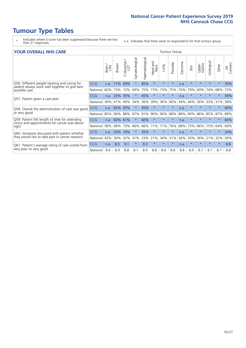# **Tumour Type Tables**

- \* Indicates where a score has been suppressed because there are less than 21 responses.
- n.a. Indicates that there were no respondents for that tumour group.

#### **YOUR OVERALL NHS CARE** THE TWO CONTROLLER THE THE THROUP CHANGE THE TUMOUR GROUP

|            | Brain | <b>Breast</b> | Colorectal<br>LGT | Gynaecological    | Haematological | aad and<br>Neck<br>Head | Lung                             | Prostate | Sarcoma | Skin    | Upper<br>Gastro | लु<br>Urologia | Other    | All<br>Cancers |
|------------|-------|---------------|-------------------|-------------------|----------------|-------------------------|----------------------------------|----------|---------|---------|-----------------|----------------|----------|----------------|
| <b>CCG</b> | n.a.  | 71%           | 69%               | $\star$           | 85%            | $\star$                 | $\star$                          | $\star$  | n.a.    | $\star$ | $\star$         | $\star$        | $\ast$   | 76%            |
| National   | 60%   |               | 73%               | 69%               |                | 73%                     | 73%                              | 75%      | 70%     | 79%     | 69%             | 74%            | 68%      | 73%            |
| <b>CCG</b> | n.a.  | <b>33%</b>    | 35%               |                   | 45%            | $\ast$                  | $\star$                          | $\star$  | n.a.    | $\star$ | $\star$         | $\star$        | $\star$  | 39%            |
| National   | 36%   | 41%           | 40%               | 34%               | 36%            | 39%                     | 36%                              | 40%      | 34%     | 44%     | 36%             | 33%            | 31%      | 38%            |
| <b>CCG</b> | n.a.  | 83%           | 93%               |                   | 95%            | $\star$                 | $\star$                          | $\star$  | n.a.    | $\star$ |                 |                |          | 90%            |
| National   |       | 90%           | 88%               | 87%               |                | 90%                     | 90%                              | 88%      | 88%     | 90%     | 86%             | 85%            | 87%      | 89%            |
| <b>CCG</b> | n.a.  |               |                   |                   | 60%            | $\star$                 | $\star$                          | $\star$  | n.a.    | $\star$ | $\star$         | $\star$        | $\ast$   | 66%            |
| National   | 58%   | 68%           | 73%               | 66%               |                |                         | 71%                              | 76%      | 68%     | 73%     | 66%             | 75%            | 64%      | 69%            |
| <b>CCG</b> | n.a.  | 20%           | 19%               |                   | 35%            | $\star$                 | $\star$                          | $\star$  | n.a.    | $\star$ |                 |                | $^\star$ | 24%            |
| National   | 42%   | 30%           | 32%               | 31%               |                |                         | 34%                              | 31%      | 36%     | 20%     | 36%             | 21%            | 32%      | 30%            |
| CCG        | n.a.  | 8.5           | 9.1               | $\star$           | 9.3            | $\star$                 | $\star$                          | $\star$  | n.a.    | $\star$ | $\star$         | $\star$        | $\ast$   | 8.8            |
| National   | 8.6   | 8.9           | 8.8               | 8.7               | 8.9            | 8.8                     | 8.8                              | 8.8      | 8.8     | 8.9     | 8.7             | 8.7            | 8.7      | 8.8            |
|            |       | 85%           |                   | 73%<br>60%<br>61% |                |                         | 75%<br>91%<br>66% 71%<br>33% 21% |          |         |         |                 |                |          |                |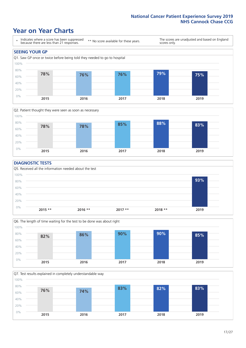### **Year on Year Charts**





#### **DIAGNOSTIC TESTS**





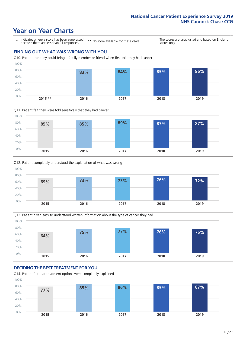







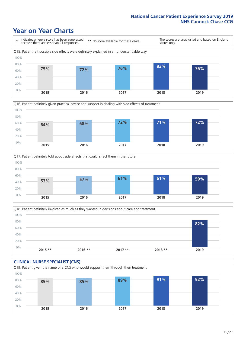





Q18. Patient definitely involved as much as they wanted in decisions about care and treatment  $0%$ 20% 40% 60% 80% 100% **2015 \*\* 2016 \*\* 2017 \*\* 2018 \*\* 2019 82%**

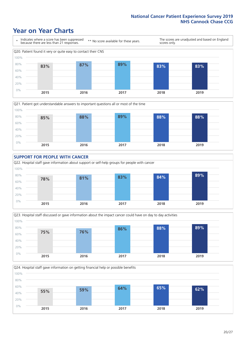







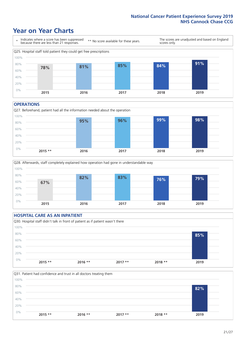### **Year on Year Charts**



#### **OPERATIONS**





#### **HOSPITAL CARE AS AN INPATIENT** Q30. Hospital staff didn't talk in front of patient as if patient wasn't there 0% 20% 40% 60% 80% 100% **2015 \*\* 2016 \*\* 2017 \*\* 2018 \*\* 2019 85%**

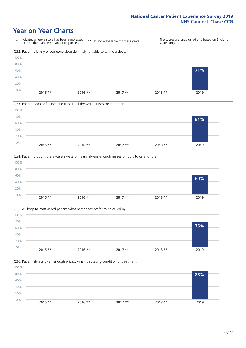







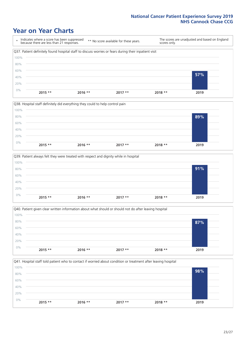### **Year on Year Charts**

\* Indicates where a score has been suppressed because there are less than 21 responses. \*\* No score available for these years. The scores are unadjusted and based on England scores only. Q37. Patient definitely found hospital staff to discuss worries or fears during their inpatient visit 0% 20% 40% 60% 80% 100% **2015 \*\* 2016 \*\* 2017 \*\* 2018 \*\* 2019 57%**







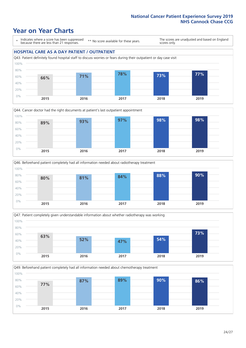### **Year on Year Charts**

\* Indicates where a score has been suppressed because there are less than 21 responses.

\*\* No score available for these years.

The scores are unadjusted and based on England scores only.

#### **HOSPITAL CARE AS A DAY PATIENT / OUTPATIENT**









Q49. Beforehand patient completely had all information needed about chemotherapy treatment 0% 20% 40% 60% 80% 100% **2015 2016 2017 2018 2019 77% 87% 89% 90% 86%**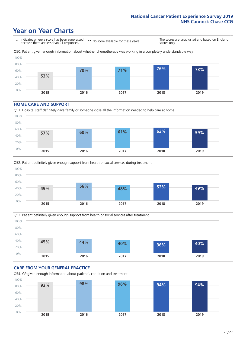### **Year on Year Charts**



#### **HOME CARE AND SUPPORT**







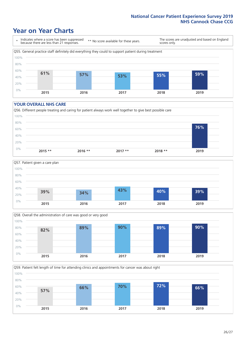### **Year on Year Charts**

\* Indicates where a score has been suppressed because there are less than 21 responses.

\*\* No score available for these years.

The scores are unadjusted and based on England scores only.



#### **YOUR OVERALL NHS CARE**







Q59. Patient felt length of time for attending clinics and appointments for cancer was about right